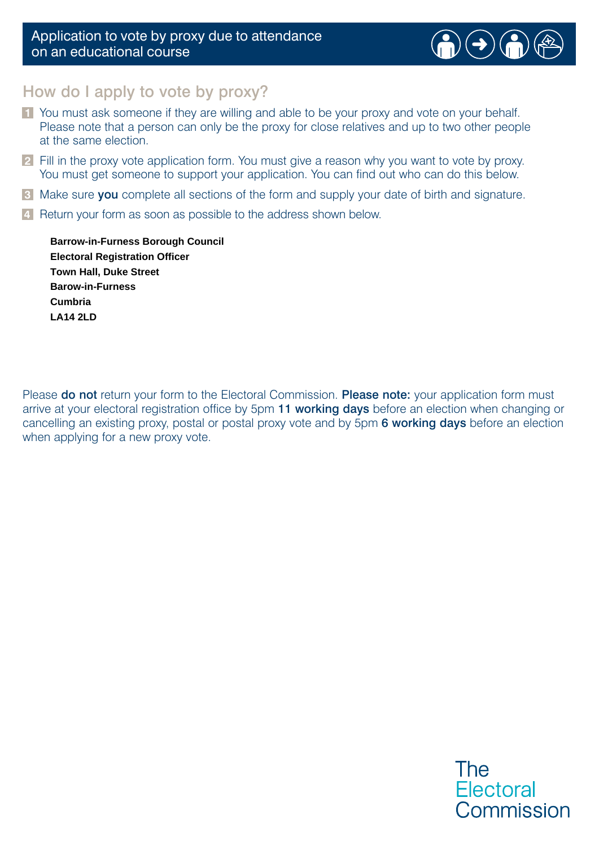#### Application to vote by proxy due to attendance on an educational course



## How do I apply to vote by proxy?

- **1** You must ask someone if they are willing and able to be your proxy and vote on your behalf. Please note that a person can only be the proxy for close relatives and up to two other people at the same election.
- **2** Fill in the proxy vote application form. You must give a reason why you want to vote by proxy. You must get someone to support your application. You can find out who can do this below.
- **3** Make sure you complete all sections of the form and supply your date of birth and signature.
- **4** Return your form as soon as possible to the address shown below.

**LA14 2LD Town Hall, Duke Street Cumbria Barrow-in-Furness Borough Council Barow-in-Furness Electoral Registration Officer**

Please do not return your form to the Electoral Commission. Please note: your application form must arrive at your electoral registration office by 5pm 11 working days before an election when changing or cancelling an existing proxy, postal or postal proxy vote and by 5pm 6 working days before an election when applying for a new proxy vote.

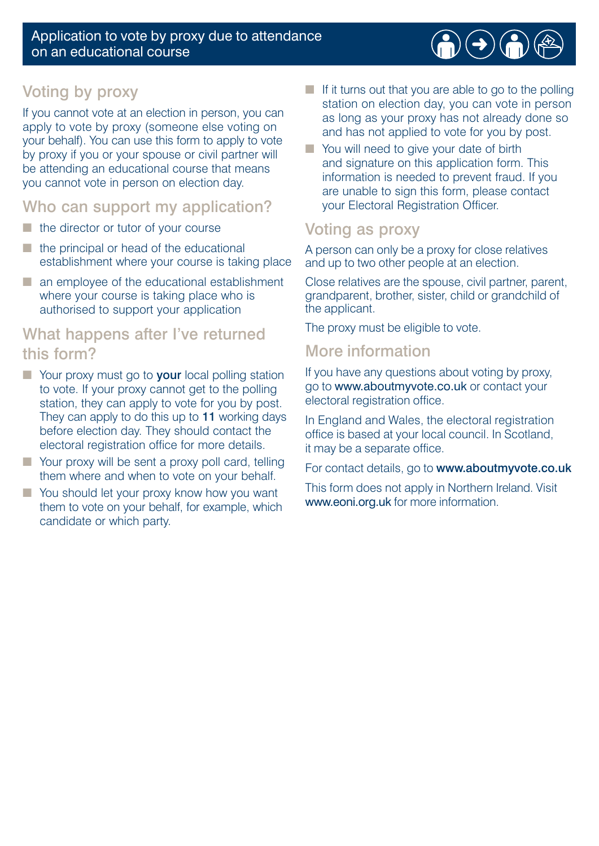

# Voting by proxy

If you cannot vote at an election in person, you can apply to vote by proxy (someone else voting on your behalf). You can use this form to apply to vote by proxy if you or your spouse or civil partner will be attending an educational course that means you cannot vote in person on election day.

## Who can support my application?

- the director or tutor of your course
- the principal or head of the educational establishment where your course is taking place
- an employee of the educational establishment where your course is taking place who is authorised to support your application

# What happens after I've returned this form?

- Your proxy must go to **your** local polling station to vote. If your proxy cannot get to the polling station, they can apply to vote for you by post. They can apply to do this up to 11 working days before election day. They should contact the electoral registration office for more details.
- Your proxy will be sent a proxy poll card, telling them where and when to vote on your behalf.
- You should let your proxy know how you want them to vote on your behalf, for example, which candidate or which party.
- If it turns out that you are able to go to the polling station on election day, you can vote in person as long as your proxy has not already done so and has not applied to vote for you by post.
- You will need to give your date of birth and signature on this application form. This information is needed to prevent fraud. If you are unable to sign this form, please contact your Electoral Registration Officer.

# Voting as proxy

A person can only be a proxy for close relatives and up to two other people at an election.

Close relatives are the spouse, civil partner, parent, grandparent, brother, sister, child or grandchild of the applicant.

The proxy must be eligible to vote.

## More information

If you have any questions about voting by proxy, go to www.aboutmyvote.co.uk or contact your electoral registration office.

In England and Wales, the electoral registration office is based at your local council. In Scotland, it may be a separate office.

For contact details, go to www.aboutmyvote.co.uk

This form does not apply in Northern Ireland. Visit www.eoni.org.uk for more information.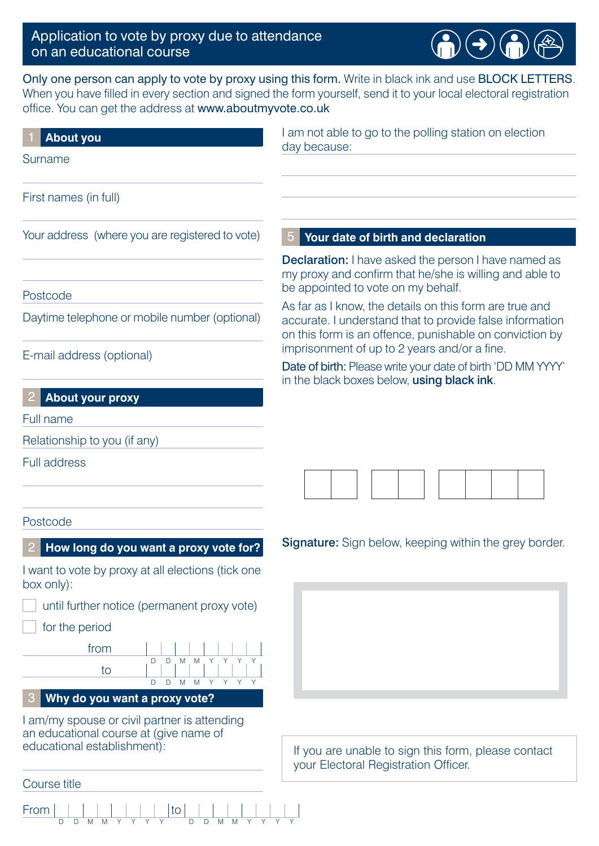### Application to vote by proxy due to attendance on an educational course

an educational course at (give name of

 $\frac{|to|}{\frac{p}{p}}$ 

educational establishment):

Course title

From



Only one person can apply to vote by proxy using this form. Write in black ink and use BLOCK LETTERS. When you have filled in every section and signed the form yourself, send it to your local electoral registration office. You can get the address at www.aboutmyvote.co.uk

| <b>About you</b>                                                   | I am not able to go to the polling station on election<br>day because:                                                                                                         |  |  |  |  |  |  |  |
|--------------------------------------------------------------------|--------------------------------------------------------------------------------------------------------------------------------------------------------------------------------|--|--|--|--|--|--|--|
| Surname                                                            |                                                                                                                                                                                |  |  |  |  |  |  |  |
| First names (in full)                                              |                                                                                                                                                                                |  |  |  |  |  |  |  |
| Your address (where you are registered to vote)                    | Your date of birth and declaration                                                                                                                                             |  |  |  |  |  |  |  |
|                                                                    | <b>Declaration:</b> I have asked the person I have named as<br>my proxy and confirm that he/she is willing and able to                                                         |  |  |  |  |  |  |  |
| Postcode                                                           | be appointed to vote on my behalf.                                                                                                                                             |  |  |  |  |  |  |  |
| Daytime telephone or mobile number (optional)                      | As far as I know, the details on this form are true and<br>accurate. I understand that to provide false information<br>on this form is an offence, punishable on conviction by |  |  |  |  |  |  |  |
| E-mail address (optional)                                          | imprisonment of up to 2 years and/or a fine.<br>Date of birth: Please write your date of birth 'DD MM YYYY'<br>in the black boxes below, using black ink.                      |  |  |  |  |  |  |  |
| <b>About your proxy</b>                                            |                                                                                                                                                                                |  |  |  |  |  |  |  |
| Full name                                                          |                                                                                                                                                                                |  |  |  |  |  |  |  |
| Relationship to you (if any)                                       |                                                                                                                                                                                |  |  |  |  |  |  |  |
| <b>Full address</b>                                                |                                                                                                                                                                                |  |  |  |  |  |  |  |
|                                                                    |                                                                                                                                                                                |  |  |  |  |  |  |  |
| Postcode                                                           |                                                                                                                                                                                |  |  |  |  |  |  |  |
| How long do you want a proxy vote for?                             | <b>Signature:</b> Sign below, keeping within the grey border.                                                                                                                  |  |  |  |  |  |  |  |
| I want to vote by proxy at all elections (tick one<br>box only):   |                                                                                                                                                                                |  |  |  |  |  |  |  |
| until further notice (permanent proxy vote)                        |                                                                                                                                                                                |  |  |  |  |  |  |  |
| for the period                                                     |                                                                                                                                                                                |  |  |  |  |  |  |  |
| from<br>M<br>D<br>M<br>D.<br>to<br>D<br>M<br>M Y<br>Y.<br>Y Y<br>D |                                                                                                                                                                                |  |  |  |  |  |  |  |
| Why do you want a proxy vote?                                      |                                                                                                                                                                                |  |  |  |  |  |  |  |
| I am/my spouse or civil partner is attending                       |                                                                                                                                                                                |  |  |  |  |  |  |  |

If you are unable to sign this form, please contact your Electoral Registration Officer.